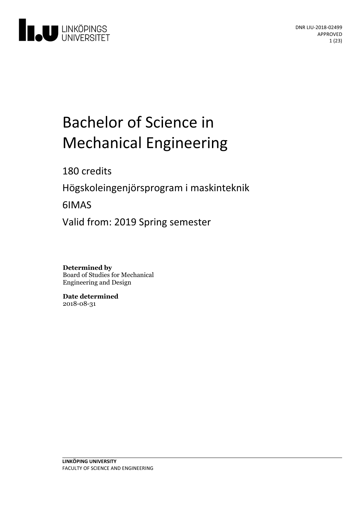

# Bachelor of Science in **Mechanical Engineering**

180 credits

Högskoleingenjörsprogram i maskinteknik

6IMAS

Valid from: 2019 Spring semester

**Determined by** Board of Studies for Mechanical Engineering and Design

**Date determined** 2018-08-31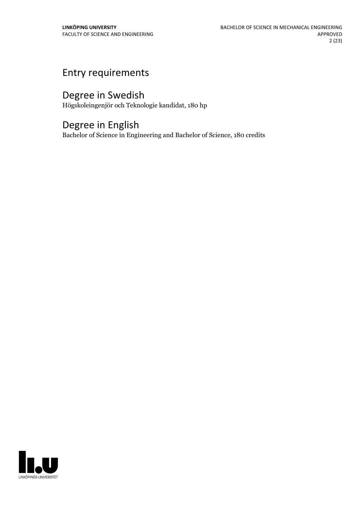## Entry requirements

## Degree in Swedish

Högskoleingenjör och Teknologie kandidat, 180 hp

## Degree in English

Bachelor of Science in Engineering and Bachelor of Science, 180 credits

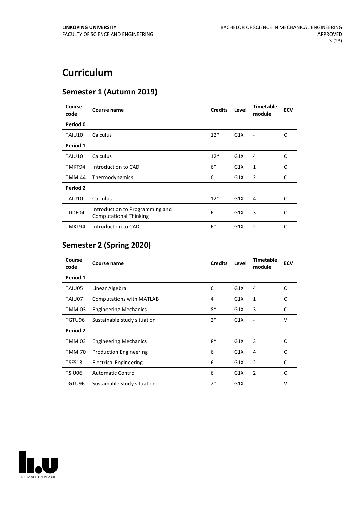## **Curriculum**

## **Semester 1 (Autumn 2019)**

| Course<br>code | Course name                                                      | <b>Credits</b> | Level | <b>Timetable</b><br>module | <b>ECV</b> |
|----------------|------------------------------------------------------------------|----------------|-------|----------------------------|------------|
| Period 0       |                                                                  |                |       |                            |            |
| TAIU10         | Calculus                                                         | $12*$          | G1X   | $\overline{\phantom{a}}$   | C          |
| Period 1       |                                                                  |                |       |                            |            |
| TAIU10         | Calculus                                                         | $12*$          | G1X   | 4                          | C          |
| TMKT94         | Introduction to CAD                                              | $6*$           | G1X   | 1                          | C          |
| TMMI44         | Thermodynamics                                                   | 6              | G1X   | 2                          | C          |
| Period 2       |                                                                  |                |       |                            |            |
| TAIU10         | Calculus                                                         | $12*$          | G1X   | 4                          | C          |
| TDDE04         | Introduction to Programming and<br><b>Computational Thinking</b> | 6              | G1X   | 3                          | C          |
| TMKT94         | Introduction to CAD                                              | $6*$           | G1X   | $\overline{2}$             | C          |

## **Semester 2 (Spring 2020)**

| Course<br>code | Course name                     | <b>Credits</b> | Level | <b>Timetable</b><br>module | <b>ECV</b> |
|----------------|---------------------------------|----------------|-------|----------------------------|------------|
| Period 1       |                                 |                |       |                            |            |
| TAIU05         | Linear Algebra                  | 6              | G1X   | 4                          | C          |
| TAIU07         | <b>Computations with MATLAB</b> | 4              | G1X   | 1                          | C          |
| TMMI03         | <b>Engineering Mechanics</b>    | $8*$           | G1X   | 3                          | C          |
| TGTU96         | Sustainable study situation     | $2*$           | G1X   |                            | v          |
| Period 2       |                                 |                |       |                            |            |
| TMMI03         | <b>Engineering Mechanics</b>    | $8*$           | G1X   | 3                          | C          |
| TMMI70         | <b>Production Engineering</b>   | 6              | G1X   | 4                          | C          |
| TSFS13         | <b>Electrical Engineering</b>   | 6              | G1X   | 2                          | C          |
| TSIU06         | <b>Automatic Control</b>        | 6              | G1X   | 2                          | C          |
| TGTU96         | Sustainable study situation     | $2*$           | G1X   |                            | ۷          |

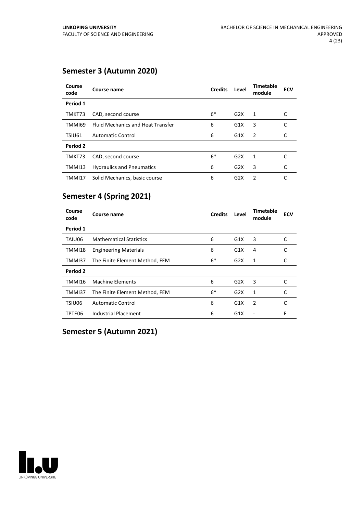## **Semester 3 (Autumn 2020)**

| Course<br>code | Course name                              | <b>Credits</b> | Level | <b>Timetable</b><br>module | <b>ECV</b> |
|----------------|------------------------------------------|----------------|-------|----------------------------|------------|
| Period 1       |                                          |                |       |                            |            |
| TMKT73         | CAD, second course                       | $6*$           | G2X   | 1                          |            |
| TMMI69         | <b>Fluid Mechanics and Heat Transfer</b> | 6              | G1X   | 3                          | C          |
| <b>TSIU61</b>  | <b>Automatic Control</b>                 | 6              | G1X   | $\overline{2}$             | C          |
| Period 2       |                                          |                |       |                            |            |
| TMKT73         | CAD, second course                       | $6*$           | G2X   | 1                          | C          |
| TMMI13         | <b>Hydraulics and Pneumatics</b>         | 6              | G2X   | 3                          | C          |
| TMMI17         | Solid Mechanics, basic course            | 6              | G2X   | $\overline{2}$             |            |

## **Semester 4 (Spring 2021)**

| Course<br>code | Course name                    | <b>Credits</b> | Level | Timetable<br>module | <b>ECV</b> |
|----------------|--------------------------------|----------------|-------|---------------------|------------|
| Period 1       |                                |                |       |                     |            |
| TAIU06         | <b>Mathematical Statistics</b> | 6              | G1X   | 3                   | C          |
| TMMI18         | <b>Engineering Materials</b>   | 6              | G1X   | 4                   | C          |
| TMMI37         | The Finite Element Method, FEM | $6*$           | G2X   | 1                   | C          |
| Period 2       |                                |                |       |                     |            |
| TMMI16         | <b>Machine Elements</b>        | 6              | G2X   | 3                   | C          |
| TMMI37         | The Finite Element Method, FEM | $6*$           | G2X   | 1                   | C          |
| TSIU06         | <b>Automatic Control</b>       | 6              | G1X   | 2                   | C          |
| TPTE06         | Industrial Placement           | 6              | G1X   |                     | E          |

**Semester 5 (Autumn 2021)**

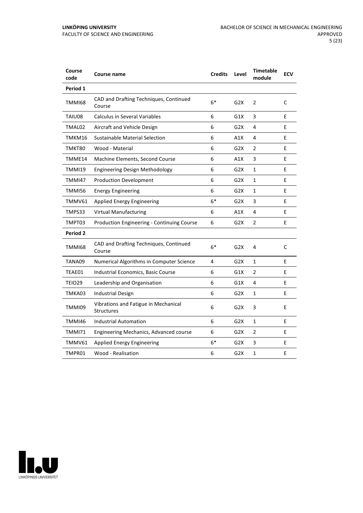| Course<br>code  | Course name                                               | <b>Credits</b> | Level            | <b>Timetable</b><br>module | <b>ECV</b> |
|-----------------|-----------------------------------------------------------|----------------|------------------|----------------------------|------------|
| Period 1        |                                                           |                |                  |                            |            |
| TMMI68          | CAD and Drafting Techniques, Continued<br>Course          | $6*$           | G <sub>2</sub> X | $\overline{2}$             | C          |
| TAIU08          | <b>Calculus in Several Variables</b>                      | 6              | G1X              | 3                          | E          |
| TMAL02          | Aircraft and Vehicle Design                               | 6              | G2X              | 4                          | E          |
| TMKM16          | <b>Sustainable Material Selection</b>                     | 6              | A1X              | 4                          | E          |
| TMKT80          | Wood - Material                                           | 6              | G <sub>2</sub> X | $\overline{2}$             | E          |
| TMME14          | Machine Elements, Second Course                           | 6              | A1X              | 3                          | E          |
| <b>TMMI19</b>   | <b>Engineering Design Methodology</b>                     | 6              | G <sub>2</sub> X | $\mathbf{1}$               | E          |
| TMMI47          | <b>Production Development</b>                             | 6              | G <sub>2</sub> X | $\mathbf{1}$               | E          |
| TMMI56          | <b>Energy Engineering</b>                                 | 6              | G <sub>2</sub> X | $\mathbf{1}$               | E          |
| TMMV61          | <b>Applied Energy Engineering</b>                         | $6*$           | G <sub>2</sub> X | 3                          | E          |
| TMPS33          | <b>Virtual Manufacturing</b>                              | 6              | A1X              | 4                          | E          |
| TMPT03          | <b>Production Engineering - Continuing Course</b>         | 6              | G <sub>2</sub> X | $\overline{2}$             | E          |
| <b>Period 2</b> |                                                           |                |                  |                            |            |
| TMMI68          | CAD and Drafting Techniques, Continued<br>Course          | $6*$           | G <sub>2</sub> X | 4                          | C          |
| TANA09          | Numerical Algorithms in Computer Science                  | 4              | G2X              | 1                          | E          |
| TEAE01          | Industrial Economics, Basic Course                        | 6              | G1X              | 2                          | E          |
| TEIO29          | Leadership and Organisation                               | 6              | G1X              | 4                          | E          |
| TMKA03          | <b>Industrial Design</b>                                  | 6              | G <sub>2</sub> X | $\mathbf{1}$               | E          |
| TMMI09          | Vibrations and Fatigue in Mechanical<br><b>Structures</b> | 6              | G2X              | 3                          | E          |
| TMMI46          | <b>Industrial Automation</b>                              | 6              | G <sub>2</sub> X | $\mathbf{1}$               | E          |
| TMMI71          | <b>Engineering Mechanics, Advanced course</b>             | 6              | G2X              | 2                          | E          |
| TMMV61          | Applied Energy Engineering                                | $6*$           | G2X              | 3                          | E          |
| TMPR01          | Wood - Realisation                                        | 6              | G <sub>2</sub> X | $\mathbf{1}$               | E          |

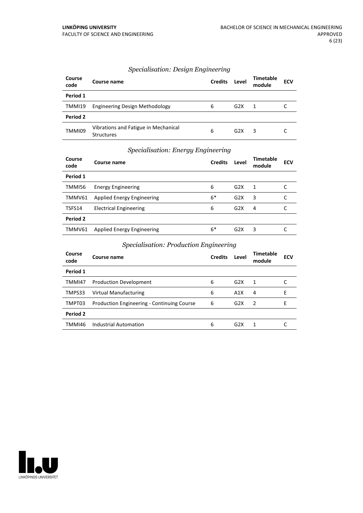## *Specialisation: Design Engineering*

| Course<br>code | Course name                                               | <b>Credits</b> | Level | <b>Timetable</b><br>module | <b>ECV</b> |
|----------------|-----------------------------------------------------------|----------------|-------|----------------------------|------------|
| Period 1       |                                                           |                |       |                            |            |
| TMMI19         | <b>Engineering Design Methodology</b>                     | 6              | G2X   | 1                          |            |
| Period 2       |                                                           |                |       |                            |            |
| TMMI09         | Vibrations and Fatigue in Mechanical<br><b>Structures</b> | 6              | G2X   | 3                          |            |

## *Specialisation: Energy Engineering*

| Course<br>code | Course name                       | <b>Credits</b> | Level | <b>Timetable</b><br>module | <b>ECV</b> |
|----------------|-----------------------------------|----------------|-------|----------------------------|------------|
| Period 1       |                                   |                |       |                            |            |
| TMMI56         | <b>Energy Engineering</b>         | 6              | G2X   | 1                          |            |
| TMMV61         | Applied Energy Engineering        | $6*$           | G2X   | 3                          |            |
| TSFS14         | Electrical Engineering            | 6              | G2X   | 4                          | C          |
| Period 2       |                                   |                |       |                            |            |
| TMMV61         | <b>Applied Energy Engineering</b> | $6*$           | G2X   | 3                          |            |

## *Specialisation: Production Engineering*

| Course<br>code | Course name                                       | <b>Credits</b> | Level            | <b>Timetable</b><br>module | <b>ECV</b> |
|----------------|---------------------------------------------------|----------------|------------------|----------------------------|------------|
| Period 1       |                                                   |                |                  |                            |            |
| TMMI47         | <b>Production Development</b>                     | 6              | G2X              | 1                          |            |
| TMPS33         | Virtual Manufacturing                             | 6              | A1X              | 4                          | F          |
| TMPT03         | <b>Production Engineering - Continuing Course</b> | 6              | G2X              | $\overline{2}$             | F          |
| Period 2       |                                                   |                |                  |                            |            |
| TMMI46         | Industrial Automation                             | 6              | G <sub>2</sub> X | 1                          |            |

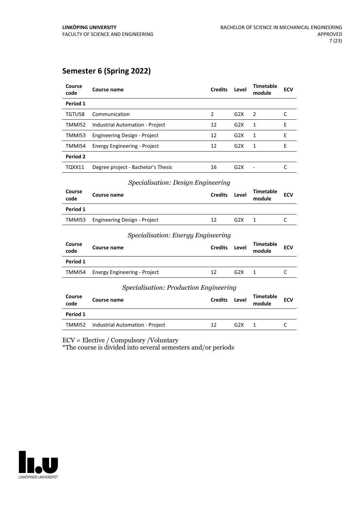## **Semester 6 (Spring 2022)**

| Course<br>code                     | <b>Course name</b>                     | <b>Credits</b> | Level            | <b>Timetable</b><br>module | <b>ECV</b> |
|------------------------------------|----------------------------------------|----------------|------------------|----------------------------|------------|
| Period 1                           |                                        |                |                  |                            |            |
| <b>TGTU58</b>                      | Communication                          | $\overline{2}$ | G2X              | $\overline{2}$             | C          |
| <b>TMMI52</b>                      | Industrial Automation - Project        | 12             | G2X              | $\mathbf{1}$               | E          |
| <b>TMMI53</b>                      | <b>Engineering Design - Project</b>    | 12             | G2X              | $\mathbf{1}$               | E          |
| <b>TMMI54</b>                      | <b>Energy Engineering - Project</b>    | 12             | G2X              | $\mathbf{1}$               | E          |
| Period 2                           |                                        |                |                  |                            |            |
| TQXX11                             | Degree project - Bachelor's Thesis     | 16             | G <sub>2</sub> X |                            | C          |
| Specialisation: Design Engineering |                                        |                |                  |                            |            |
| Course<br>code                     | Course name                            | <b>Credits</b> | Level            | <b>Timetable</b><br>module | <b>ECV</b> |
| Period 1                           |                                        |                |                  |                            |            |
| <b>TMMI53</b>                      | <b>Engineering Design - Project</b>    | 12             | G <sub>2</sub> X | 1                          | C          |
|                                    | Specialisation: Energy Engineering     |                |                  |                            |            |
| Course<br>code                     | <b>Course name</b>                     | <b>Credits</b> | Level            | <b>Timetable</b><br>module | <b>ECV</b> |
| Period 1                           |                                        |                |                  |                            |            |
| <b>TMMI54</b>                      | <b>Energy Engineering - Project</b>    | 12             | G <sub>2</sub> X | $\mathbf{1}$               | С          |
|                                    | Specialisation: Production Engineering |                |                  |                            |            |
| Course<br>code                     | Course name                            | <b>Credits</b> | Level            | <b>Timetable</b><br>module | <b>ECV</b> |
| Period 1                           |                                        |                |                  |                            |            |
| <b>TMMI52</b>                      | Industrial Automation - Project        | 12             | G2X              | 1                          | C          |

ECV = Elective / Compulsory /Voluntary

\*The course is divided into several semesters and/or periods

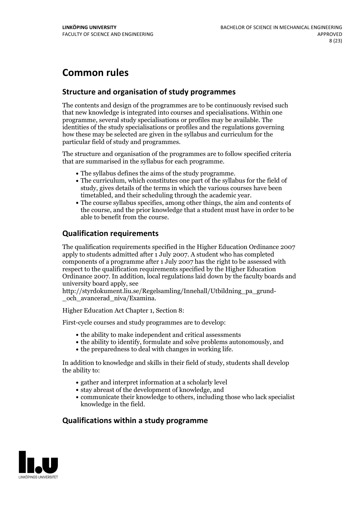## **Common rules**

## **Structure and organisation of study programmes**

The contents and design of the programmes are to be continuously revised such that new knowledge is integrated into courses and specialisations. Within one programme, several study specialisations or profiles may be available. The identities of the study specialisations or profiles and the regulations governing how these may be selected are given in the syllabus and curriculum for the particular field of study and programmes.

The structure and organisation of the programmes are to follow specified criteria that are summarised in the syllabus for each programme.

- 
- The syllabus defines the aims of the study programme.<br>• The curriculum, which constitutes one part of the syllabus for the field of study, gives details of the terms in which the various courses have been
- The course syllabus specifies, among other things, the aim and contents of the course, and the prior knowledge that a student must have in order to be able to benefit from the course.

## **Qualification requirements**

The qualification requirements specified in the Higher Education Ordinance 2007 apply to students admitted after 1 July 2007. A student who has completed components of a programme after 1 July 2007 has the right to be assessed with respect to the qualification requirements specified by the Higher Education Ordinance 2007. In addition, local regulations laid down by the faculty boards and university board apply, see

http://styrdokument.liu.se/Regelsamling/Innehall/Utbildning\_pa\_grund- \_och\_avancerad\_niva/Examina.

Higher Education Act Chapter 1, Section 8:

First-cycle courses and study programmes are to develop:

- $\bullet$  the ability to make independent and critical assessments
- the ability to identify, formulate and solve problems autonomously, and
- $\bullet$  the preparedness to deal with changes in working life.

In addition to knowledge and skills in their field of study, students shall develop the ability to:

- gather and interpret information at a scholarly level
- stay abreast of the development of knowledge, and
- communicate their knowledge to others, including those who lack specialist knowledge in the field.

## **Qualifications within a study programme**

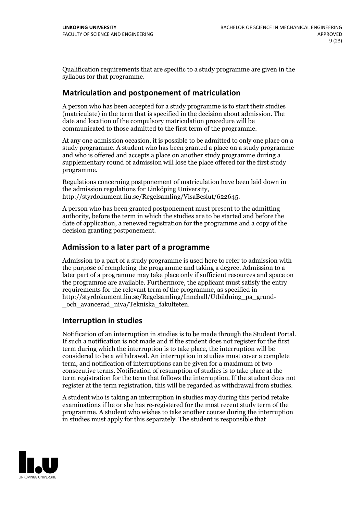Qualification requirements that are specific to a study programme are given in the syllabus for that programme.

## **Matriculation and postponement of matriculation**

A person who has been accepted for a study programme is to start their studies (matriculate) in the term that is specified in the decision about admission. The date and location of the compulsory matriculation procedure will be communicated to those admitted to the first term of the programme.

At any one admission occasion, it is possible to be admitted to only one place on a study programme. A student who has been granted a place on a study programme and who is offered and accepts a place on another study programme during a supplementary round of admission will lose the place offered for the first study programme.

Regulations concerning postponement of matriculation have been laid down in the admission regulations for Linköping University, http://styrdokument.liu.se/Regelsamling/VisaBeslut/622645.

A person who has been granted postponement must present to the admitting authority, before the term in which the studies are to be started and before the date of application, a renewed registration for the programme and a copy of the decision granting postponement.

## **Admission to a later part of a programme**

Admission to a part of a study programme is used here to refer to admission with the purpose of completing the programme and taking a degree. Admission to a later part of a programme may take place only if sufficient resources and space on the programme are available. Furthermore, the applicant must satisfy the entry requirements for the relevant term of the programme, as specified in http://styrdokument.liu.se/Regelsamling/Innehall/Utbildning\_pa\_grund- \_och\_avancerad\_niva/Tekniska\_fakulteten.

## **Interruption in studies**

Notification of an interruption in studies is to be made through the Student Portal. If such <sup>a</sup> notification is not made and if the student does not register for the first term during which the interruption is to take place, the interruption will be considered to be a withdrawal. An interruption in studies must cover a complete term, and notification of interruptions can be given for a maximum of two consecutive terms. Notification of resumption of studies is to take place at the term registration for the term that follows the interruption. If the student does not register at the term registration, this will be regarded as withdrawal from studies.

A student who is taking an interruption in studies may during this period retake examinations if he or she has re-registered for the most recent study term of the programme. A student who wishes to take another course during the interruption in studies must apply for this separately. The student is responsible that

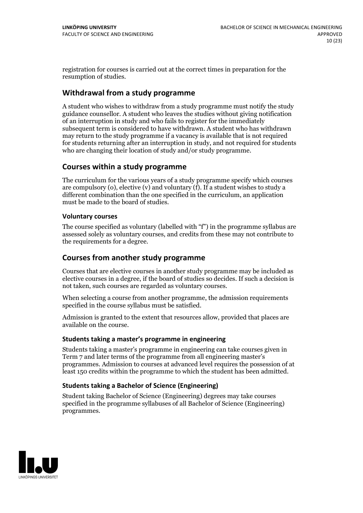registration for courses is carried outat the correct times in preparation for the resumption of studies.

## **Withdrawal from a study programme**

A student who wishes to withdraw from a study programme must notify the study guidance counsellor. A student who leaves the studies without giving notification of an interruption in study and who fails to register for the immediately subsequent term is considered to have withdrawn. A student who has withdrawn may return to the study programme if a vacancy is available that is not required for students returning after an interruption in study, and not required for students who are changing their location of study and/or study programme.

## **Courses within a study programme**

The curriculum for the various years of a study programme specify which courses are compulsory (o), elective (v) and voluntary (f). If a student wishes to study a different combination than the one specified in the curriculum, an application must be made to the board of studies.

### **Voluntarycourses**

The course specified as voluntary (labelled with "f") in the programme syllabus are assessed solely as voluntary courses, and credits from these may not contribute to the requirements for a degree.

## **Courses from another study programme**

Courses that are elective courses in another study programme may be included as elective courses in a degree, if the board of studies so decides. If such a decision is not taken, such courses are regarded as voluntary courses.

When selecting a course from another programme, the admission requirements specified in the course syllabus must be satisfied.

Admission is granted to the extent that resources allow, provided that places are available on the course.

#### **Students taking a master's programme in engineering**

Students taking a master's programme in engineering can take courses given in Term 7 and later terms of the programme from all engineering master's programmes. Admission to courses at advanced level requires the possession of at least 150 credits within the programme to which the student has been admitted.

## **Students taking a Bachelor of Science (Engineering)**

Student taking Bachelor of Science (Engineering) degrees may take courses specified in the programme syllabuses of all Bachelor of Science (Engineering) programmes.

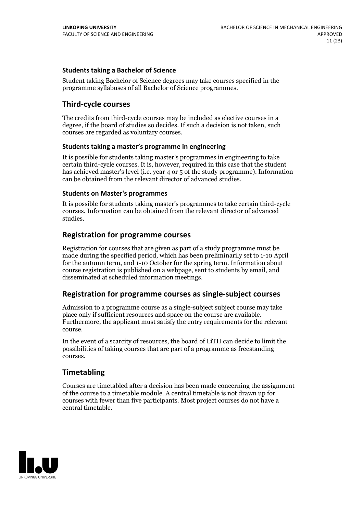### **Students taking a Bachelor of Science**

Student taking Bachelor of Science degrees may take courses specified in the programme syllabuses of all Bachelor of Science programmes.

## **Third-cycle courses**

The credits from third-cycle courses may be included as elective courses in a degree, if the board of studies so decides. If such a decision is not taken, such courses are regarded as voluntary courses.

#### **Students taking a master's programme in engineering**

It is possible for students taking master's programmes in engineering to take certain third-cycle courses. It is, however, required in this case that the student has achieved master's level (i.e. year 4 or 5 of the study programme). Information can be obtained from the relevant director of advanced studies.

#### **Students on Master's programmes**

It is possible for students taking master's programmes to take certain third-cycle courses. Information can be obtained from the relevant director of advanced studies.

## **Registration for programme courses**

Registration for courses that are given as part of a study programme must be made during the specified period, which has been preliminarily set to 1-10 April for the autumn term, and 1-10 October for the spring term. Information about course registration is published on a webpage, sent to students by email, and disseminated at scheduled information meetings.

## **Registration for programme courses as single-subject courses**

Admission to a programme course as a single-subject subject course may take place only if sufficient resources and space on the course are available. Furthermore, the applicant must satisfy the entry requirements for the relevant course.

In the event of a scarcity of resources, the board of LiTH can decide to limit the possibilities of taking courses that are part of a programme as freestanding courses.

## **Timetabling**

Courses are timetabled after a decision has been made concerning the assignment of the course to a timetable module. A central timetable is not drawn up for courses with fewer than five participants. Most project courses do not have a central timetable.

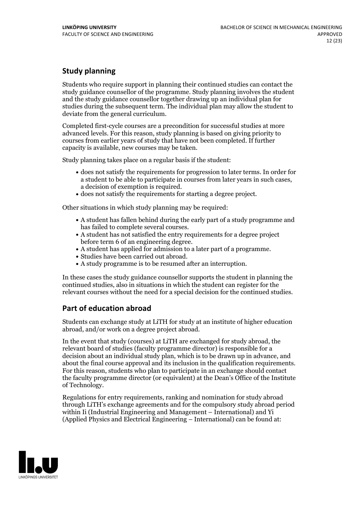## **Study planning**

Students who require support in planning their continued studies can contact the study guidance counsellor of the programme. Study planning involves the student and the study guidance counsellor together drawing up an individual plan for studies during the subsequent term. The individual plan may allow the student to deviate from the general curriculum.

Completed first-cycle courses are a precondition for successful studies at more advanced levels. For this reason, study planning is based on giving priority to courses from earlier years of study that have not been completed. If further capacity is available, new courses may be taken.

Study planning takes place on a regular basis if the student:

- does not satisfy the requirements for progression to later terms. In order for a student to be able to participate in courses from later years in such cases, a decision of exemption is required.<br>
• does not satisfy the requirements for starting a degree project.
- 

Other situations in which study planning may be required:

- A student has fallen behind during the early part of a study programme and has failed to complete several courses.<br>• A student has not satisfied the entry requirements for a degree project
- 
- before term 6 of an engineering degree.<br>• A student has applied for admission to a later part of a programme.<br>• Studies have been carried out abroad.<br>• A study programme is to be resumed after an interruption.
- 
- 

In these cases the study guidance counsellor supports the student in planning the continued studies, also in situations in which the student can register for the relevant courses without the need for a special decision for the continued studies.

## **Part of education abroad**

Students can exchange study at LiTH for study at an institute of higher education abroad, and/or work on a degree project abroad.

In the event that study (courses) at LiTH are exchanged for study abroad, the relevant board of studies (faculty programme director) is responsible for a decision about an individual study plan, which is to be drawn up in advance, and about the final course approval and its inclusion in the qualification requirements. For this reason, students who plan to participate in an exchange should contact the faculty programme director (or equivalent) at the Dean's Office ofthe Institute of Technology.

Regulations for entry requirements, ranking and nomination for study abroad through LiTH's exchange agreements and for the compulsory study abroad period within Ii (Industrial Engineering and Management – International) and Yi (Applied Physics and Electrical Engineering – International) can be found at:

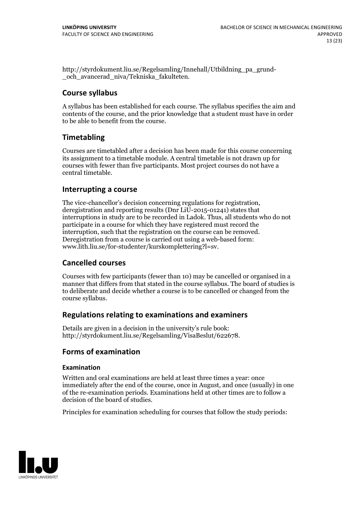http://styrdokument.liu.se/Regelsamling/Innehall/Utbildning\_pa\_grund- \_och\_avancerad\_niva/Tekniska\_fakulteten.

## **Course syllabus**

A syllabus has been established for each course. The syllabus specifies the aim and contents of the course, and the prior knowledge that a student must have in order to be able to benefit from the course.

## **Timetabling**

Courses are timetabled after a decision has been made for this course concerning its assignment to a timetable module. A central timetable is not drawn up for courses with fewer than five participants. Most project courses do not have a central timetable.

## **Interrupting a course**

The vice-chancellor's decision concerning regulations for registration, deregistration and reporting results (Dnr LiU-2015-01241) states that interruptions in study are to be recorded in Ladok. Thus, all students who do not participate in a course for which they have registered must record the interruption, such that the registration on the course can be removed. Deregistration from <sup>a</sup> course is carried outusing <sup>a</sup> web-based form: www.lith.liu.se/for-studenter/kurskomplettering?l=sv.

## **Cancelled courses**

Courses with few participants (fewer than 10) may be cancelled or organised in a manner that differs from that stated in the course syllabus. The board of studies is to deliberate and decide whether a course is to be cancelled orchanged from the course syllabus.

## **Regulations relatingto examinations and examiners**

Details are given in a decision in the university's rule book: http://styrdokument.liu.se/Regelsamling/VisaBeslut/622678.

## **Forms of examination**

## **Examination**

Written and oral examinations are held at least three times a year: once immediately after the end of the course, once in August, and once (usually) in one of the re-examination periods. Examinations held at other times are to follow a decision of the board of studies.

Principles for examination scheduling for courses that follow the study periods:

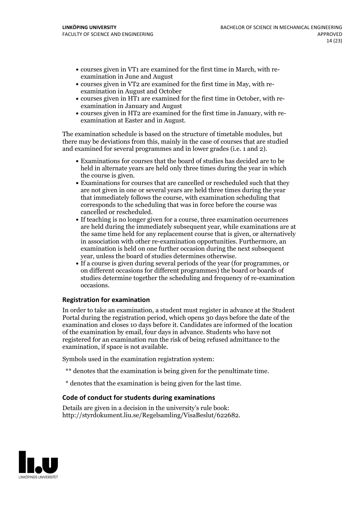- courses given in VT1 are examined for the first time in March, with re-examination in June and August
- courses given in VT2 are examined for the first time in May, with re-examination in August and October
- courses given in HT1 are examined for the first time in October, with re-examination in January and August
- courses given in HT2 are examined for the first time in January, with re-examination at Easter and in August.

The examination schedule is based on the structure of timetable modules, but there may be deviations from this, mainly in the case of courses that are studied and examined for several programmes and in lower grades (i.e. 1 and 2).

- Examinations for courses that the board of studies has decided are to be held in alternate years are held only three times during the year in which the course is given.<br>• Examinations for courses that are cancelled or rescheduled such that they
- are not given in one or several years are held three times during the year that immediately follows the course, with examination scheduling that corresponds to the scheduling that was in force before the course was cancelled or rescheduled.<br>• If teaching is no longer given for a course, three examination occurrences
- are held during the immediately subsequent year, while examinations are at the same time held for any replacement course that is given, or alternatively in association with other re-examination opportunities. Furthermore, an examination is held on one further occasion during the next subsequent
- year, unless the board of studies determines otherwise.<br>If a course is given during several periods of the year (for programmes, or on different occasions for different programmes) the board or boards of studies determine together the scheduling and frequency of re-examination occasions.

#### **Registration for examination**

In order to take an examination, a student must register in advance at the Student Portal during the registration period, which opens 30 days before the date of the examination and closes 10 days before it. Candidates are informed of the location of the examination by email, four days in advance. Students who have not registered for an examination run the risk of being refused admittance to the examination, if space is not available.

Symbols used in the examination registration system:

- \*\* denotes that the examination is being given for the penultimate time.
- \* denotes that the examination is being given for the last time.

#### **Code of conduct for students during examinations**

Details are given in a decision in the university's rule book: http://styrdokument.liu.se/Regelsamling/VisaBeslut/622682.

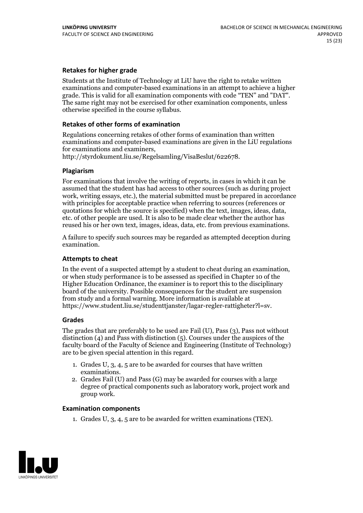### **Retakes for higher grade**

Students at the Institute of Technology at LiU have the right to retake written examinations and computer-based examinations in an attempt to achieve a higher grade. This is valid for all examination components with code "TEN" and "DAT". The same right may not be exercised for other examination components, unless otherwise specified in the course syllabus.

#### **Retakes of other forms of examination**

Regulations concerning retakes of other forms of examination than written examinations and computer-based examinations are given in the LiU regulations

http://styrdokument.liu.se/Regelsamling/VisaBeslut/622678.

#### **Plagiarism**

For examinations that involve the writing of reports, in cases in which it can be assumed that the student has had access to other sources (such as during project work, writing essays, etc.), the material submitted must be prepared in accordance with principles for acceptable practice when referring to sources (references or quotations for which the source is specified) when the text, images, ideas, data, etc. of other people are used. It is also to be made clear whether the author has reused his or her own text, images, ideas, data, etc. from previous examinations.

A failure to specify such sources may be regarded as attempted deception during examination.

#### **Attempts to cheat**

In the event of <sup>a</sup> suspected attempt by <sup>a</sup> student to cheat during an examination, or when study performance is to be assessed as specified in Chapter <sup>10</sup> of the Higher Education Ordinance, the examiner is to report this to the disciplinary board of the university. Possible consequences for the student are suspension from study and a formal warning. More information is available at https://www.student.liu.se/studenttjanster/lagar-regler-rattigheter?l=sv.

#### **Grades**

The grades that are preferably to be used are Fail (U), Pass (3), Pass not without distinction  $(4)$  and Pass with distinction  $(5)$ . Courses under the auspices of the faculty board of the Faculty of Science and Engineering (Institute of Technology) are to be given special attention in this regard.

- 1. Grades U, 3, 4, 5 are to be awarded for courses that have written examinations. 2. Grades Fail (U) and Pass (G) may be awarded for courses with <sup>a</sup> large
- degree of practical components such as laboratory work, project work and group work.

#### **Examination components**

1. Grades U, 3, 4, 5 are to be awarded for written examinations (TEN).

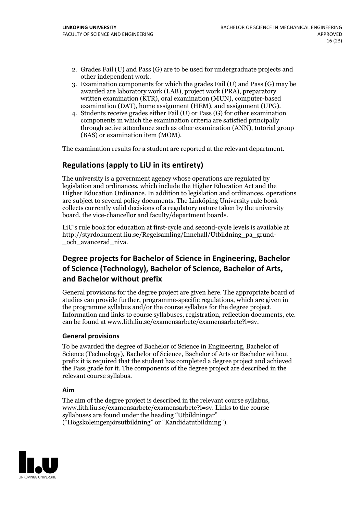- 2. Grades Fail (U) and Pass (G) are to be used for undergraduate projects and other independent work. 3. Examination components for which the grades Fail (U) and Pass (G) may be
- awarded are laboratory work (LAB), project work (PRA), preparatory written examination (KTR), oral examination (MUN), computer-based
- examination (DAT), home assignment (HEM), and assignment (UPG). 4. Students receive grades either Fail (U) or Pass (G) for other examination components in which the examination criteria are satisfied principally through active attendance such as other examination (ANN), tutorial group (BAS) or examination item (MOM).

The examination results for a student are reported at the relevant department.

## **Regulations (applyto LiU in its entirety)**

The university is a government agency whose operations are regulated by legislation and ordinances, which include the Higher Education Act and the Higher Education Ordinance. In addition to legislation and ordinances, operations are subject to several policy documents. The Linköping University rule book collects currently valid decisions of a regulatory nature taken by the university board, the vice-chancellor and faculty/department boards.

LiU's rule book for education at first-cycle and second-cycle levels is available at http://styrdokument.liu.se/Regelsamling/Innehall/Utbildning\_pa\_grund- \_och\_avancerad\_niva.

## **Degree projects for Bachelor of Science in Engineering, Bachelor ofScience (Technology), Bachelor ofScience, Bachelor of Arts, and Bachelor without prefix**

General provisions for the degree project are given here. The appropriate board of studies can provide further, programme-specific regulations, which are given in the programme syllabus and/or the course syllabus for the degree project. Information and links to course syllabuses, registration, reflection documents, etc. can be found at www.lith.liu.se/examensarbete/examensarbete?l=sv.

## **General provisions**

To be awarded the degree of Bachelor of Science in Engineering, Bachelor of Science (Technology), Bachelor of Science, Bachelor of Arts or Bachelor without prefix it is required that the student has completed a degree project and achieved the Pass grade for it. The components of the degree project are described in the relevant course syllabus.

#### **Aim**

The aim of the degree project is described in the relevant course syllabus, www.lith.liu.se/examensarbete/examensarbete?l=sv. Links to the course syllabuses are found under the heading "Utbildningar" ("Högskoleingenjörsutbildning" or "Kandidatutbildning").

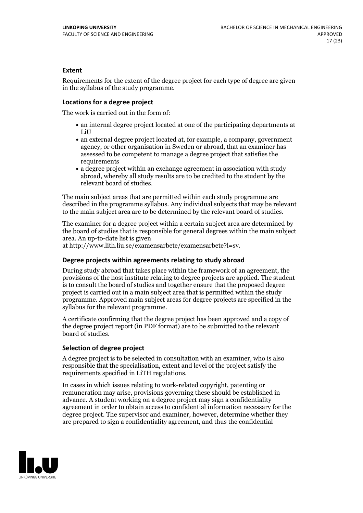### **Extent**

Requirements for the extent of the degree project for each type of degree are given in the syllabus of the study programme.

#### **Locations for a degree project**

The work is carried out in the form of:

- an internal degree project located at one of the participating departments at LiU
- an external degree project located at, for example, a company, government agency, or other organisation in Sweden or abroad, that an examiner has assessed to be competent to manage a degree project that satisfies the requirements
- a degree project within an exchange agreement in association with study abroad, whereby all study results are to be credited to the student by the relevant board of studies.

The main subject areas that are permitted within each study programme are described in the programme syllabus. Any individual subjects that may be relevant to the main subject area are to be determined by the relevant board of studies.

The examiner for a degree project within a certain subject area are determined by the board of studies that is responsible for general degrees within the main subject area. An up-to-date list is given

at http://www.lith.liu.se/examensarbete/examensarbete?l=sv.

#### **Degree projects within agreements relatingto study abroad**

During study abroad that takes place within the framework of an agreement, the provisions of the host institute relating to degree projects are applied. The student is to consult the board of studies and together ensure that the proposed degree project is carried outin a main subject area that is permitted within the study programme. Approved main subject areas for degree projects are specified in the syllabus for the relevant programme.

A certificate confirming that the degree project has been approved and a copy of the degree project report (in PDF format) are to be submitted to the relevant board of studies.

#### **Selection of degree project**

A degree project is to be selected in consultation with an examiner, who is also responsible that the specialisation, extent and level of the project satisfy the requirements specified in LiTH regulations.

In cases in which issues relating to work-related copyright, patenting or remuneration may arise, provisions governing these should be established in advance. A student working on a degree project may sign a confidentiality agreement in order to obtain access to confidential information necessary for the degree project. The supervisor and examiner, however, determine whether they are prepared to sign a confidentiality agreement, and thus the confidential

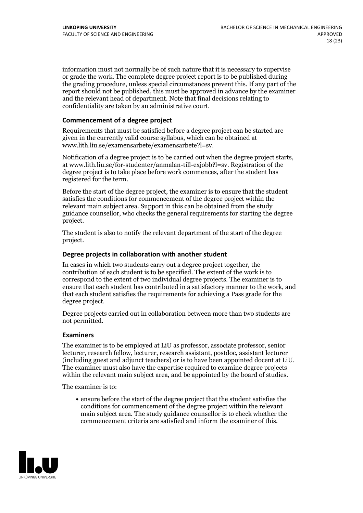information must not normally be of such nature that it is necessary to supervise or grade the work. The complete degree project report is to be published during the grading procedure, unless special circumstances prevent this. If any part of the report should not be published, this must be approved in advance by the examiner and the relevant head of department. Note that final decisions relating to confidentiality are taken by an administrative court.

#### **Commencement of a degree project**

Requirements that must be satisfied before a degree project can be started are given in the currently valid course syllabus, which can be obtained at www.lith.liu.se/examensarbete/examensarbete?l=sv.

Notification of <sup>a</sup> degree project is to be carried outwhen the degree project starts, at www.lith.liu.se/for-studenter/anmalan-till-exjobb?l=sv. Registration of the degree project is to take place before work commences, after the student has registered for the term.

Before the start of the degree project, the examiner is to ensure that the student satisfies the conditions for commencement of the degree project within the relevant main subject area. Support in this can be obtained from the study guidance counsellor, who checks the general requirements for starting the degree project.

The student is also to notify the relevant department of the start of the degree project.

#### **Degree projects in collaboration with another student**

In cases in which two students carry out a degree project together, the contribution of each student is to be specified. The extent of the work is to correspond to the extent of two individual degree projects. The examiner is to ensure that each student has contributed in a satisfactory manner to the work, and that each student satisfies the requirements for achieving a Pass grade for the degree project.

Degree projects carried out in collaboration between more than two students are not permitted.

#### **Examiners**

The examiner is to be employed at LiU as professor, associate professor, senior lecturer, research fellow, lecturer, research assistant, postdoc, assistant lecturer (including guest and adjunct teachers) or is to have been appointed docent at LiU. The examiner must also have the expertise required to examine degree projects within the relevant main subject area, and be appointed by the board of studies.

The examiner is to:

ensure before the start of the degree project that the student satisfies the conditions for commencement of the degree project within the relevant main subject area. The study guidance counsellor is to check whether the commencement criteria are satisfied and inform the examiner of this.

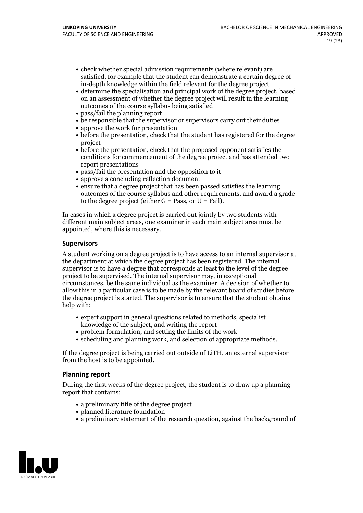- check whether special admission requirements (where relevant) are satisfied, for example that the student can demonstrate a certain degree of in-depth knowledge within the field relevant for the degree project
- determine the specialisation and principal work of the degree project, based on an assessment of whether the degree project will result in the learning outcomes of the course syllabus being satisfied
- pass/fail the planning report
- be responsible that the supervisor or supervisors carry out their duties
- approve the work for presentation
- before the presentation, check that the student has registered for the degree project
- before the presentation, check that the proposed opponent satisfies the conditions for commencement of the degree project and has attended two report presentations
- pass/fail the presentation and the opposition to it
- approve a concluding reflection document
- ensure that a degree project that has been passed satisfies the learning outcomes of the course syllabus and other requirements, and award a grade to the degree project (either  $G = Pass$ , or  $U = Fail$ ).

In cases in which a degree project is carried out jointly by two students with different main subject areas, one examiner in each main subject area must be appointed, where this is necessary.

#### **Supervisors**

A student working on a degree project is to have access to an internal supervisor at the department at which the degree project has been registered. The internal supervisor is to have a degree that corresponds at least to the level of the degree project to be supervised. The internal supervisor may, in exceptional circumstances, be the same individual as the examiner. A decision of whether to allow this in a particular case is to be made by the relevant board of studies before the degree project is started. The supervisor is to ensure that the student obtains help with:

- expert support in general questions related to methods, specialist knowledge ofthe subject, and writing the report
- problem formulation, and setting the limits of the work
- scheduling and planning work, and selection of appropriate methods.

If the degree project is being carried out outside of LiTH, an external supervisor from the host is to be appointed.

#### **Planning report**

During the first weeks of the degree project, the student is to draw up a planning report that contains:

- $\bullet$  a preliminary title of the degree project
- planned literature foundation
- a preliminary statement of the research question, against the background of

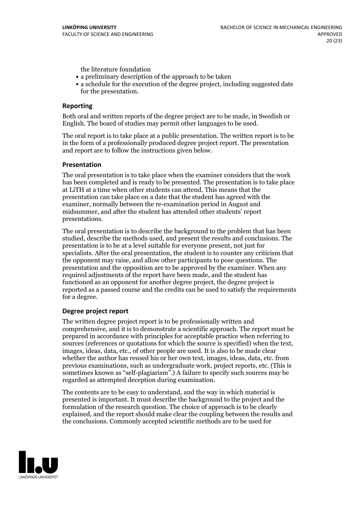the literature foundation

- a preliminary description of the approach to be taken
- a schedule for the execution of the degree project, including suggested date for the presentation.

#### **Reporting**

Both oral and written reports of the degree project are to be made, in Swedish or English. The board of studies may permit other languages to be used.

The oral report is to take place at a public presentation. The written report is to be in the form of a professionally produced degree project report. The presentation and report are to follow the instructions given below.

#### **Presentation**

The oral presentation is to take place when the examiner considers that the work has been completed and is ready to be presented. The presentation is to take place at LiTH at a time when other students can attend. This means that the presentation can take place on a date that the student has agreed with the examiner, normally between the re-examination period in August and midsummer, and after the student has attended other students' report presentations.

The oral presentation is to describe the background to the problem that has been studied, describe the methods used, and present the results and conclusions. The presentation is to be at a level suitable for everyone present, not just for specialists. After the oral presentation, the student is to counter any criticism that the opponent may raise, and allow other participants to pose questions. The presentation and the opposition are to be approved by the examiner. When any required adjustments of the report have been made, and the student has functioned as an opponent for another degree project, the degree project is reported as a passed course and the credits can be used to satisfy the requirements for a degree.

#### **Degree project report**

The written degree project report is to be professionally written and comprehensive, and it is to demonstrate a scientific approach. The report must be prepared in accordance with principles for acceptable practice when referring to sources (references or quotations for which the source is specified) when the text, images, ideas, data, etc., of other people are used. It is also to be made clear whether the author has reused his or her own text, images, ideas, data, etc. from previous examinations, such asundergraduate work, project reports, etc. (This is sometimes known as "self-plagiarism".) A failure to specify such sources may be regarded as attempted deception during examination.

The contents are to be easy to understand, and the way in which material is presented is important. It must describe the background to the project and the formulation of the research question. The choice of approach is to be clearly explained, and the report should make clear the coupling between the results and the conclusions. Commonly accepted scientific methods are to be used for

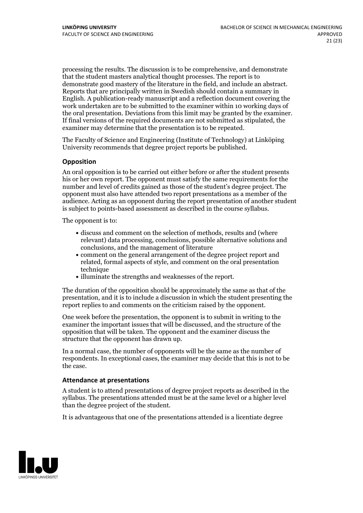processing the results. The discussion is to be comprehensive, and demonstrate that the student masters analytical thought processes. The report is to demonstrate good mastery of the literature in the field, and include an abstract. Reports that are principally written in Swedish should contain <sup>a</sup> summary in English. A publication-ready manuscript and a reflection document covering the work undertaken are to be submitted to the examiner within 10 working days of the oral presentation. Deviations from this limit may be granted by the examiner. If final versions of the required documents are not submitted as stipulated, the examiner may determine that the presentation is to be repeated.

The Faculty of Science and Engineering (Institute of Technology) at Linköping University recommends that degree project reports be published.

### **Opposition**

An oral opposition is to be carried out either before or after the student presents his or her own report. The opponent must satisfy the same requirements for the number and level of credits gained as those of the student's degree project. The opponent must also have attended two report presentations as a member of the audience. Acting as an opponent during the report presentation of another student is subject to points-based assessment as described in the course syllabus.

The opponent is to:

- discuss and comment on the selection of methods, results and (where relevant) data processing, conclusions, possible alternative solutions and conclusions, and the management of literature
- comment on the general arrangement of the degree project report and related, formal aspects of style, and comment on the oral presentation technique
- illuminate the strengths and weaknesses of the report.

The duration of the opposition should be approximately the same as that of the presentation, and it is to include a discussion in which the student presenting the report replies to and comments on the criticism raised by the opponent.

One week before the presentation, the opponent is to submit in writing to the examiner the important issues that will be discussed, and the structure of the opposition that will be taken. The opponent and the examiner discuss the structure that the opponent has drawn up.

In a normal case, the number of opponents will be the same as the number of respondents. In exceptional cases, the examiner may decide that this is not to be the case.

#### **Attendance at presentations**

A student is to attend presentations of degree project reports as described in the syllabus. The presentations attended must be atthe same level or a higher level than the degree project of the student.

It is advantageous that one of the presentations attended is a licentiate degree

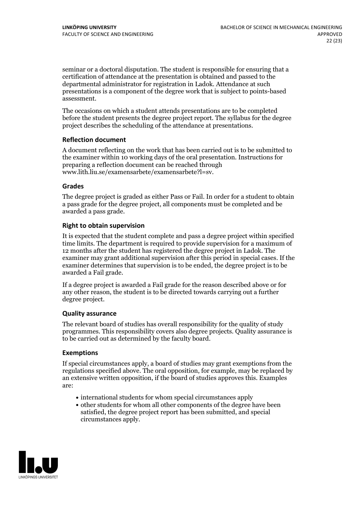seminar or a doctoral disputation. The student is responsible for ensuring that a certification of attendance at the presentation is obtained and passed to the departmental administrator for registration in Ladok. Attendance at such presentations is a component of the degree work that is subject to points-based assessment.

The occasions on which a student attends presentations are to be completed before the student presents the degree project report. The syllabus for the degree project describes the scheduling of the attendance at presentations.

### **Reflection document**

A document reflecting on the work that has been carried out is to be submitted to the examiner within 10 working days of the oral presentation. Instructions for preparing a reflection document can be reached through www.lith.liu.se/examensarbete/examensarbete?l=sv.

### **Grades**

The degree project is graded as either Pass or Fail. In order for a student to obtain a pass grade for the degree project, all components must be completed and be awarded a pass grade.

### **Right to obtain supervision**

It is expected that the student complete and pass a degree project within specified time limits. The department is required to provide supervision for a maximum of 12 months after the student has registered the degree project in Ladok. The examiner may grant additional supervision after this period in special cases. If the examiner determines that supervision is to be ended, the degree project is to be awarded a Fail grade.

If a degree project is awarded a Fail grade for the reason described above or for any other reason, the student is to be directed towards carrying out a further degree project.

## **Quality assurance**

The relevant board of studies has overall responsibility for the quality of study programmes. This responsibility covers also degree projects. Quality assurance is to be carried out as determined by the faculty board.

#### **Exemptions**

If special circumstances apply, a board of studies may grant exemptions from the regulations specified above. The oral opposition, for example, may be replaced by an extensive written opposition, if the board of studies approves this. Examples are:

- international students for whom special circumstances apply
- other students for whom all other components of the degree have been satisfied, the degree project report has been submitted, and special circumstances apply.